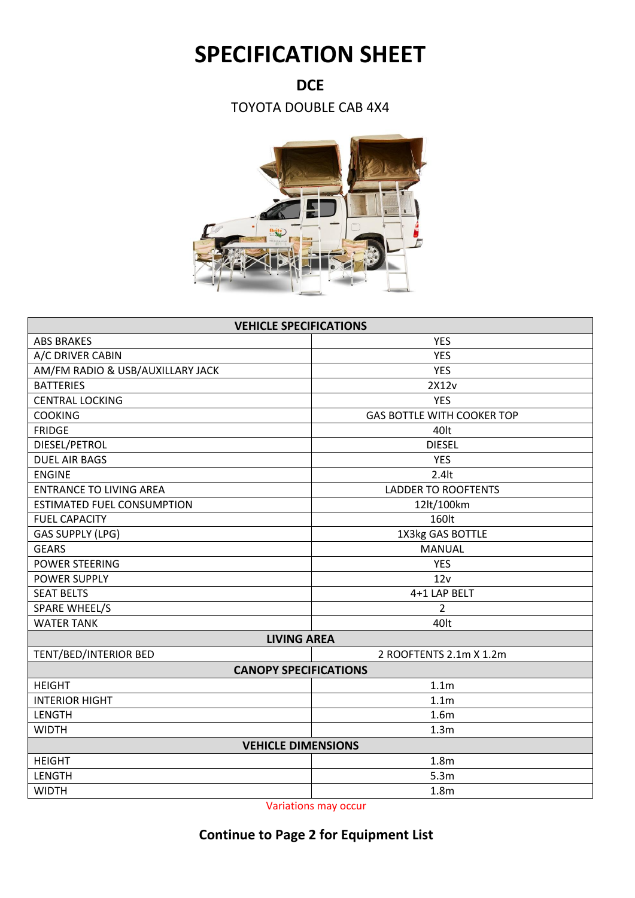## **SPECIFICATION SHEET**

**DCE**

TOYOTA DOUBLE CAB 4X4



| <b>VEHICLE SPECIFICATIONS</b>     |                                   |  |  |
|-----------------------------------|-----------------------------------|--|--|
| <b>ABS BRAKES</b>                 | <b>YES</b>                        |  |  |
| A/C DRIVER CABIN                  | <b>YES</b>                        |  |  |
| AM/FM RADIO & USB/AUXILLARY JACK  | <b>YES</b>                        |  |  |
| <b>BATTERIES</b>                  | 2X12v                             |  |  |
| <b>CENTRAL LOCKING</b>            | <b>YES</b>                        |  |  |
| <b>COOKING</b>                    | <b>GAS BOTTLE WITH COOKER TOP</b> |  |  |
| <b>FRIDGE</b>                     | 40lt                              |  |  |
| DIESEL/PETROL                     | <b>DIESEL</b>                     |  |  |
| <b>DUEL AIR BAGS</b>              | <b>YES</b>                        |  |  |
| <b>ENGINE</b>                     | $2.4$ lt                          |  |  |
| <b>ENTRANCE TO LIVING AREA</b>    | <b>LADDER TO ROOFTENTS</b>        |  |  |
| <b>ESTIMATED FUEL CONSUMPTION</b> | 12lt/100km                        |  |  |
| <b>FUEL CAPACITY</b>              | 160lt                             |  |  |
| <b>GAS SUPPLY (LPG)</b>           | 1X3kg GAS BOTTLE                  |  |  |
| <b>GEARS</b>                      | <b>MANUAL</b>                     |  |  |
| <b>POWER STEERING</b>             | <b>YES</b>                        |  |  |
| <b>POWER SUPPLY</b>               | 12v                               |  |  |
| <b>SEAT BELTS</b>                 | 4+1 LAP BELT                      |  |  |
| <b>SPARE WHEEL/S</b>              | 2                                 |  |  |
| <b>WATER TANK</b>                 | 40lt                              |  |  |
| <b>LIVING AREA</b>                |                                   |  |  |
| TENT/BED/INTERIOR BED             | 2 ROOFTENTS 2.1m X 1.2m           |  |  |
| <b>CANOPY SPECIFICATIONS</b>      |                                   |  |  |
| <b>HEIGHT</b>                     | 1.1 <sub>m</sub>                  |  |  |
| <b>INTERIOR HIGHT</b>             | 1.1 <sub>m</sub>                  |  |  |
| LENGTH                            | 1.6 <sub>m</sub>                  |  |  |
| <b>WIDTH</b>                      | 1.3 <sub>m</sub>                  |  |  |
| <b>VEHICLE DIMENSIONS</b>         |                                   |  |  |
| <b>HEIGHT</b>                     | 1.8 <sub>m</sub>                  |  |  |
| LENGTH                            | 5.3m                              |  |  |
| <b>WIDTH</b>                      | 1.8 <sub>m</sub>                  |  |  |

Variations may occur

## **Continue to Page 2 for Equipment List**